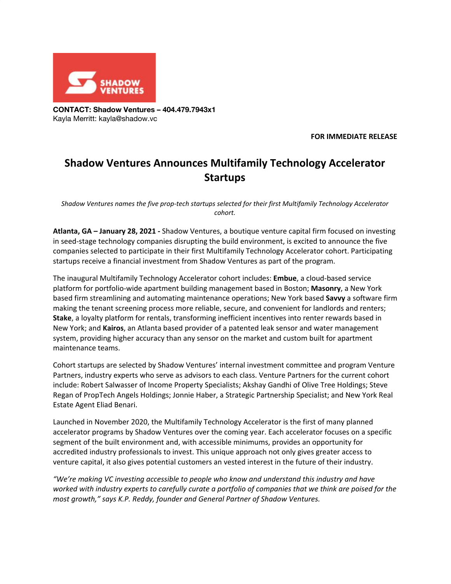

**CONTACT: Shadow Ventures – 404.479.7943x1** Kayla Merritt: kayla@shadow.vc

**FOR IMMEDIATE RELEASE**

## **Shadow Ventures Announces Multifamily Technology Accelerator Startups**

*Shadow Ventures names the five prop-tech startups selected for their first Multifamily Technology Accelerator cohort.*

**Atlanta, GA – January 28, 2021 -** Shadow Ventures, a boutique venture capital firm focused on investing in seed-stage technology companies disrupting the build environment, is excited to announce the five companies selected to participate in their first Multifamily Technology Accelerator cohort. Participating startups receive a financial investment from Shadow Ventures as part of the program.

The inaugural Multifamily Technology Accelerator cohort includes: **Embue**, a cloud-based service platform for portfolio-wide apartment building management based in Boston; **Masonry**, a New York based firm streamlining and automating maintenance operations; New York based **Savvy** a software firm making the tenant screening process more reliable, secure, and convenient for landlords and renters; **Stake**, a loyalty platform for rentals, transforming inefficient incentives into renter rewards based in New York; and **Kairos**, an Atlanta based provider of a patented leak sensor and water management system, providing higher accuracy than any sensor on the market and custom built for apartment maintenance teams.

Cohort startups are selected by Shadow Ventures' internal investment committee and program Venture Partners, industry experts who serve as advisors to each class. Venture Partners for the current cohort include: Robert Salwasser of Income Property Specialists; Akshay Gandhi of Olive Tree Holdings; Steve Regan of PropTech Angels Holdings; Jonnie Haber, a Strategic Partnership Specialist; and New York Real Estate Agent Eliad Benari.

Launched in November 2020, the Multifamily Technology Accelerator is the first of many planned accelerator programs by Shadow Ventures over the coming year. Each accelerator focuses on a specific segment of the built environment and, with accessible minimums, provides an opportunity for accredited industry professionals to invest. This unique approach not only gives greater access to venture capital, it also gives potential customers an vested interest in the future of their industry.

*"We're making VC investing accessible to people who know and understand this industry and have* worked with industry experts to carefully curate a portfolio of companies that we think are poised for the *most growth," says K.P. Reddy, founder and General Partner of Shadow Ventures.*